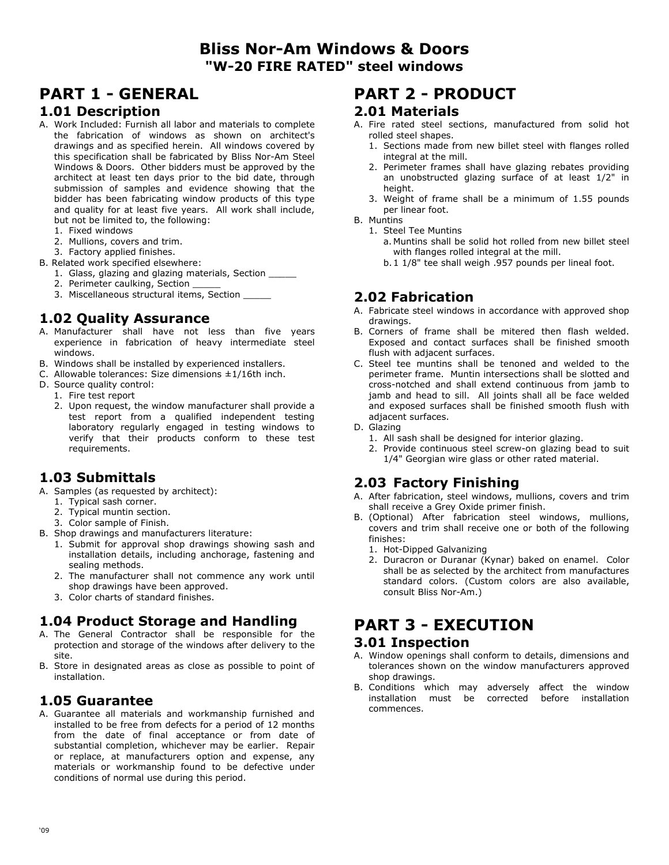## **Bliss Nor-Am Windows & Doors "W-20 FIRE RATED" steel windows**

# **PART 1 - GENERAL**

#### **1.01 Description**

- A. Work Included: Furnish all labor and materials to complete the fabrication of windows as shown on architect's drawings and as specified herein. All windows covered by this specification shall be fabricated by Bliss Nor-Am Steel Windows & Doors. Other bidders must be approved by the architect at least ten days prior to the bid date, through submission of samples and evidence showing that the bidder has been fabricating window products of this type and quality for at least five years. All work shall include, but not be limited to, the following:
	- 1. Fixed windows
	- 2. Mullions, covers and trim.
	- 3. Factory applied finishes.
- B. Related work specified elsewhere:
	- 1. Glass, glazing and glazing materials, Section \_\_\_\_\_
	- 2. Perimeter caulking, Section
	- 3. Miscellaneous structural items, Section \_\_\_\_\_

## **1.02 Quality Assurance**

- A. Manufacturer shall have not less than five years experience in fabrication of heavy intermediate steel windows.
- B. Windows shall be installed by experienced installers.
- C. Allowable tolerances: Size dimensions ±1/16th inch.
- D. Source quality control:
	- 1. Fire test report
	- 2. Upon request, the window manufacturer shall provide a test report from a qualified independent testing laboratory regularly engaged in testing windows to verify that their products conform to these test requirements.

## **1.03 Submittals**

- A. Samples (as requested by architect):
	- 1. Typical sash corner.
	- 2. Typical muntin section.
	- 3. Color sample of Finish.
- B. Shop drawings and manufacturers literature:
	- 1. Submit for approval shop drawings showing sash and installation details, including anchorage, fastening and sealing methods.
	- 2. The manufacturer shall not commence any work until shop drawings have been approved.
	- 3. Color charts of standard finishes.

## **1.04 Product Storage and Handling**

- A. The General Contractor shall be responsible for the protection and storage of the windows after delivery to the site.
- B. Store in designated areas as close as possible to point of installation.

### **1.05 Guarantee**

A. Guarantee all materials and workmanship furnished and installed to be free from defects for a period of 12 months from the date of final acceptance or from date of substantial completion, whichever may be earlier. Repair or replace, at manufacturers option and expense, any materials or workmanship found to be defective under conditions of normal use during this period.

## **PART 2 - PRODUCT**

#### **2.01 Materials**

- A. Fire rated steel sections, manufactured from solid hot rolled steel shapes.
	- 1. Sections made from new billet steel with flanges rolled integral at the mill.
	- 2. Perimeter frames shall have glazing rebates providing an unobstructed glazing surface of at least 1/2" in height.
	- 3. Weight of frame shall be a minimum of 1.55 pounds per linear foot.
- B. Muntins
	- 1. Steel Tee Muntins
		- a. Muntins shall be solid hot rolled from new billet steel with flanges rolled integral at the mill.
		- b. 1 1/8" tee shall weigh .957 pounds per lineal foot.

## **2.02 Fabrication**

- A. Fabricate steel windows in accordance with approved shop drawings.
- B. Corners of frame shall be mitered then flash welded. Exposed and contact surfaces shall be finished smooth flush with adjacent surfaces.
- C. Steel tee muntins shall be tenoned and welded to the perimeter frame. Muntin intersections shall be slotted and cross-notched and shall extend continuous from jamb to jamb and head to sill. All joints shall all be face welded and exposed surfaces shall be finished smooth flush with adjacent surfaces.
- D. Glazing
	- 1. All sash shall be designed for interior glazing.
	- 2. Provide continuous steel screw-on glazing bead to suit 1/4" Georgian wire glass or other rated material.

## **2.03 Factory Finishing**

- A. After fabrication, steel windows, mullions, covers and trim shall receive a Grey Oxide primer finish.
- B. (Optional) After fabrication steel windows, mullions, covers and trim shall receive one or both of the following finishes:
	- 1. Hot-Dipped Galvanizing
	- 2. Duracron or Duranar (Kynar) baked on enamel. Color shall be as selected by the architect from manufactures standard colors. (Custom colors are also available, consult Bliss Nor-Am.)

# **PART 3 - EXECUTION**

#### **3.01 Inspection**

- A. Window openings shall conform to details, dimensions and tolerances shown on the window manufacturers approved shop drawings.
- B. Conditions which may adversely affect the window installation must be corrected before installation commences.